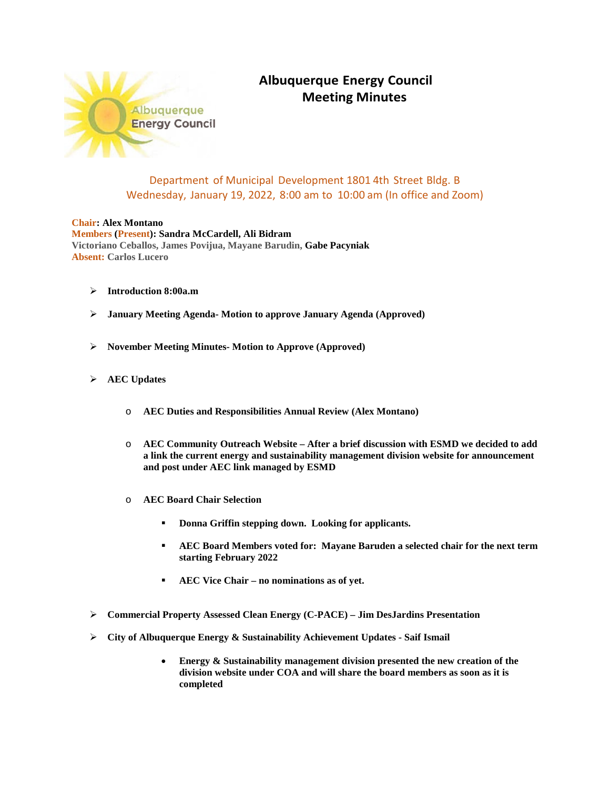

## **Albuquerque Energy Council Meeting Minutes**

## Department of Municipal Development 1801 4th Street Bldg. B Wednesday, January 19, 2022, 8:00 am to 10:00 am (In office and Zoom)

## **Chair: Alex Montano Members (Present): Sandra McCardell, Ali Bidram Victoriano Ceballos, James Povijua, Mayane Barudin, Gabe Pacyniak Absent: Carlos Lucero**

- **Introduction 8:00a.m**
- **January Meeting Agenda- Motion to approve January Agenda (Approved)**
- **November Meeting Minutes- Motion to Approve (Approved)**
- **AEC Updates**
	- o **AEC Duties and Responsibilities Annual Review (Alex Montano)**
	- o **AEC Community Outreach Website – After a brief discussion with ESMD we decided to add a link the current energy and sustainability management division website for announcement and post under AEC link managed by ESMD**
	- o **AEC Board Chair Selection**
		- **Donna Griffin stepping down. Looking for applicants.**
		- **AEC Board Members voted for: Mayane Baruden a selected chair for the next term starting February 2022**
		- **AEC Vice Chair – no nominations as of yet.**
- **Commercial Property Assessed Clean Energy (C-PACE) – Jim DesJardins Presentation**
- **City of Albuquerque Energy & Sustainability Achievement Updates - Saif Ismail**
	- **Energy & Sustainability management division presented the new creation of the division website under COA and will share the board members as soon as it is completed**